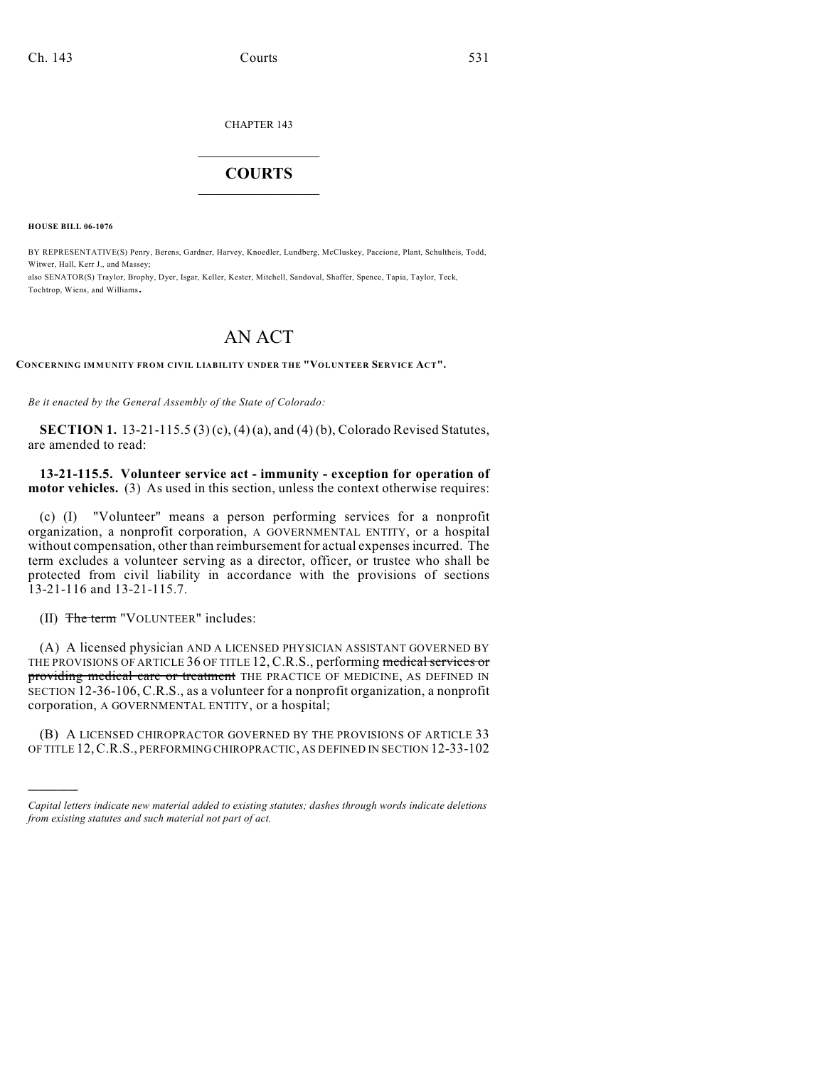CHAPTER 143

## $\mathcal{L}_\text{max}$  . The set of the set of the set of the set of the set of the set of the set of the set of the set of the set of the set of the set of the set of the set of the set of the set of the set of the set of the set **COURTS**  $\_$

**HOUSE BILL 06-1076**

BY REPRESENTATIVE(S) Penry, Berens, Gardner, Harvey, Knoedler, Lundberg, McCluskey, Paccione, Plant, Schultheis, Todd, Witwer, Hall, Kerr J., and Massey;

also SENATOR(S) Traylor, Brophy, Dyer, Isgar, Keller, Kester, Mitchell, Sandoval, Shaffer, Spence, Tapia, Taylor, Teck, Tochtrop, Wiens, and Williams.

## AN ACT

**CONCERNING IMMUNITY FROM CIVIL LIABILITY UNDER THE "VOLUNTEER SERVICE ACT".**

*Be it enacted by the General Assembly of the State of Colorado:*

**SECTION 1.** 13-21-115.5 (3) (c), (4) (a), and (4) (b), Colorado Revised Statutes, are amended to read:

**13-21-115.5. Volunteer service act - immunity - exception for operation of motor vehicles.** (3) As used in this section, unless the context otherwise requires:

(c) (I) "Volunteer" means a person performing services for a nonprofit organization, a nonprofit corporation, A GOVERNMENTAL ENTITY, or a hospital without compensation, other than reimbursement for actual expenses incurred. The term excludes a volunteer serving as a director, officer, or trustee who shall be protected from civil liability in accordance with the provisions of sections 13-21-116 and 13-21-115.7.

(II) The term "VOLUNTEER" includes:

)))))

(A) A licensed physician AND A LICENSED PHYSICIAN ASSISTANT GOVERNED BY THE PROVISIONS OF ARTICLE 36 OF TITLE 12, C.R.S., performing medical services or providing medical care or treatment THE PRACTICE OF MEDICINE, AS DEFINED IN SECTION 12-36-106, C.R.S., as a volunteer for a nonprofit organization, a nonprofit corporation, A GOVERNMENTAL ENTITY, or a hospital;

(B) A LICENSED CHIROPRACTOR GOVERNED BY THE PROVISIONS OF ARTICLE 33 OF TITLE 12,C.R.S., PERFORMING CHIROPRACTIC, AS DEFINED IN SECTION 12-33-102

*Capital letters indicate new material added to existing statutes; dashes through words indicate deletions from existing statutes and such material not part of act.*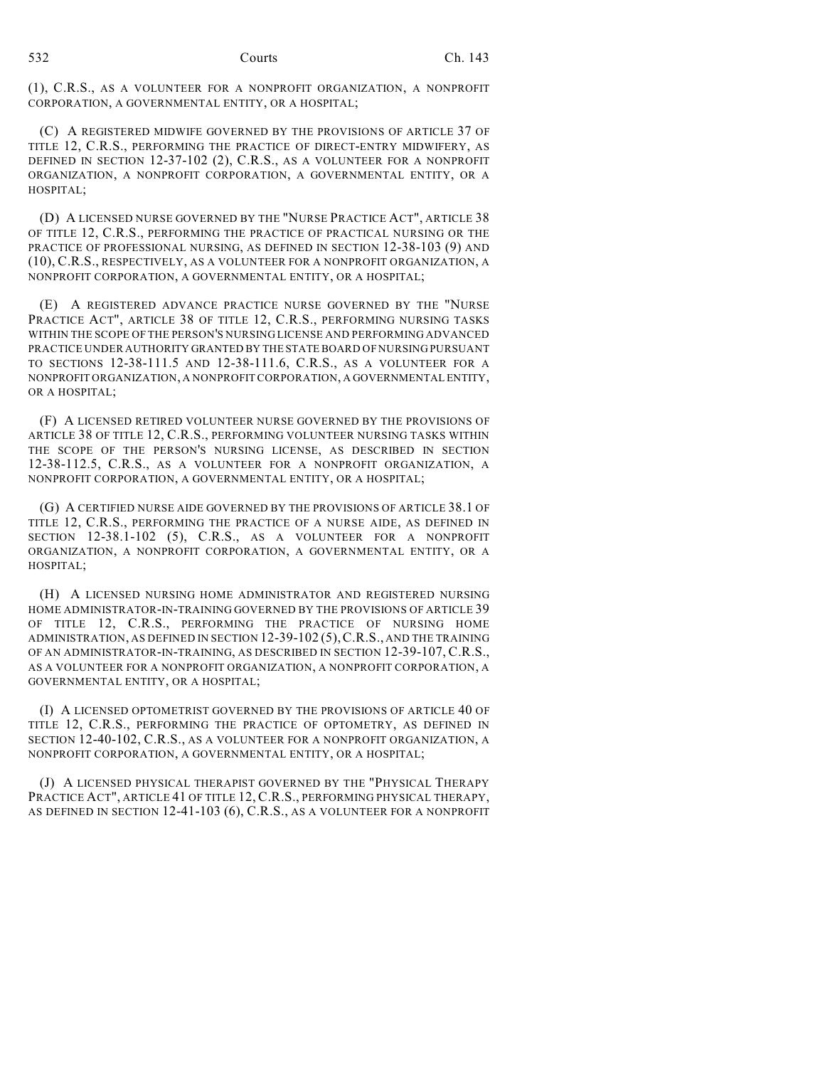(1), C.R.S., AS A VOLUNTEER FOR A NONPROFIT ORGANIZATION, A NONPROFIT CORPORATION, A GOVERNMENTAL ENTITY, OR A HOSPITAL;

(C) A REGISTERED MIDWIFE GOVERNED BY THE PROVISIONS OF ARTICLE 37 OF TITLE 12, C.R.S., PERFORMING THE PRACTICE OF DIRECT-ENTRY MIDWIFERY, AS DEFINED IN SECTION 12-37-102 (2), C.R.S., AS A VOLUNTEER FOR A NONPROFIT ORGANIZATION, A NONPROFIT CORPORATION, A GOVERNMENTAL ENTITY, OR A HOSPITAL;

(D) A LICENSED NURSE GOVERNED BY THE "NURSE PRACTICE ACT", ARTICLE 38 OF TITLE 12, C.R.S., PERFORMING THE PRACTICE OF PRACTICAL NURSING OR THE PRACTICE OF PROFESSIONAL NURSING, AS DEFINED IN SECTION 12-38-103 (9) AND (10), C.R.S., RESPECTIVELY, AS A VOLUNTEER FOR A NONPROFIT ORGANIZATION, A NONPROFIT CORPORATION, A GOVERNMENTAL ENTITY, OR A HOSPITAL;

(E) A REGISTERED ADVANCE PRACTICE NURSE GOVERNED BY THE "NURSE PRACTICE ACT", ARTICLE 38 OF TITLE 12, C.R.S., PERFORMING NURSING TASKS WITHIN THE SCOPE OF THE PERSON'S NURSING LICENSE AND PERFORMING ADVANCED PRACTICE UNDER AUTHORITY GRANTED BY THE STATE BOARD OF NURSING PURSUANT TO SECTIONS 12-38-111.5 AND 12-38-111.6, C.R.S., AS A VOLUNTEER FOR A NONPROFIT ORGANIZATION, A NONPROFIT CORPORATION, A GOVERNMENTAL ENTITY, OR A HOSPITAL;

(F) A LICENSED RETIRED VOLUNTEER NURSE GOVERNED BY THE PROVISIONS OF ARTICLE 38 OF TITLE 12, C.R.S., PERFORMING VOLUNTEER NURSING TASKS WITHIN THE SCOPE OF THE PERSON'S NURSING LICENSE, AS DESCRIBED IN SECTION 12-38-112.5, C.R.S., AS A VOLUNTEER FOR A NONPROFIT ORGANIZATION, A NONPROFIT CORPORATION, A GOVERNMENTAL ENTITY, OR A HOSPITAL;

(G) A CERTIFIED NURSE AIDE GOVERNED BY THE PROVISIONS OF ARTICLE 38.1 OF TITLE 12, C.R.S., PERFORMING THE PRACTICE OF A NURSE AIDE, AS DEFINED IN SECTION 12-38.1-102 (5), C.R.S., AS A VOLUNTEER FOR A NONPROFIT ORGANIZATION, A NONPROFIT CORPORATION, A GOVERNMENTAL ENTITY, OR A HOSPITAL;

(H) A LICENSED NURSING HOME ADMINISTRATOR AND REGISTERED NURSING HOME ADMINISTRATOR-IN-TRAINING GOVERNED BY THE PROVISIONS OF ARTICLE 39 OF TITLE 12, C.R.S., PERFORMING THE PRACTICE OF NURSING HOME ADMINISTRATION, AS DEFINED IN SECTION 12-39-102 (5),C.R.S., AND THE TRAINING OF AN ADMINISTRATOR-IN-TRAINING, AS DESCRIBED IN SECTION 12-39-107, C.R.S., AS A VOLUNTEER FOR A NONPROFIT ORGANIZATION, A NONPROFIT CORPORATION, A GOVERNMENTAL ENTITY, OR A HOSPITAL;

(I) A LICENSED OPTOMETRIST GOVERNED BY THE PROVISIONS OF ARTICLE 40 OF TITLE 12, C.R.S., PERFORMING THE PRACTICE OF OPTOMETRY, AS DEFINED IN SECTION 12-40-102, C.R.S., AS A VOLUNTEER FOR A NONPROFIT ORGANIZATION, A NONPROFIT CORPORATION, A GOVERNMENTAL ENTITY, OR A HOSPITAL;

(J) A LICENSED PHYSICAL THERAPIST GOVERNED BY THE "PHYSICAL THERAPY PRACTICE ACT", ARTICLE 41 OF TITLE 12, C.R.S., PERFORMING PHYSICAL THERAPY, AS DEFINED IN SECTION 12-41-103 (6), C.R.S., AS A VOLUNTEER FOR A NONPROFIT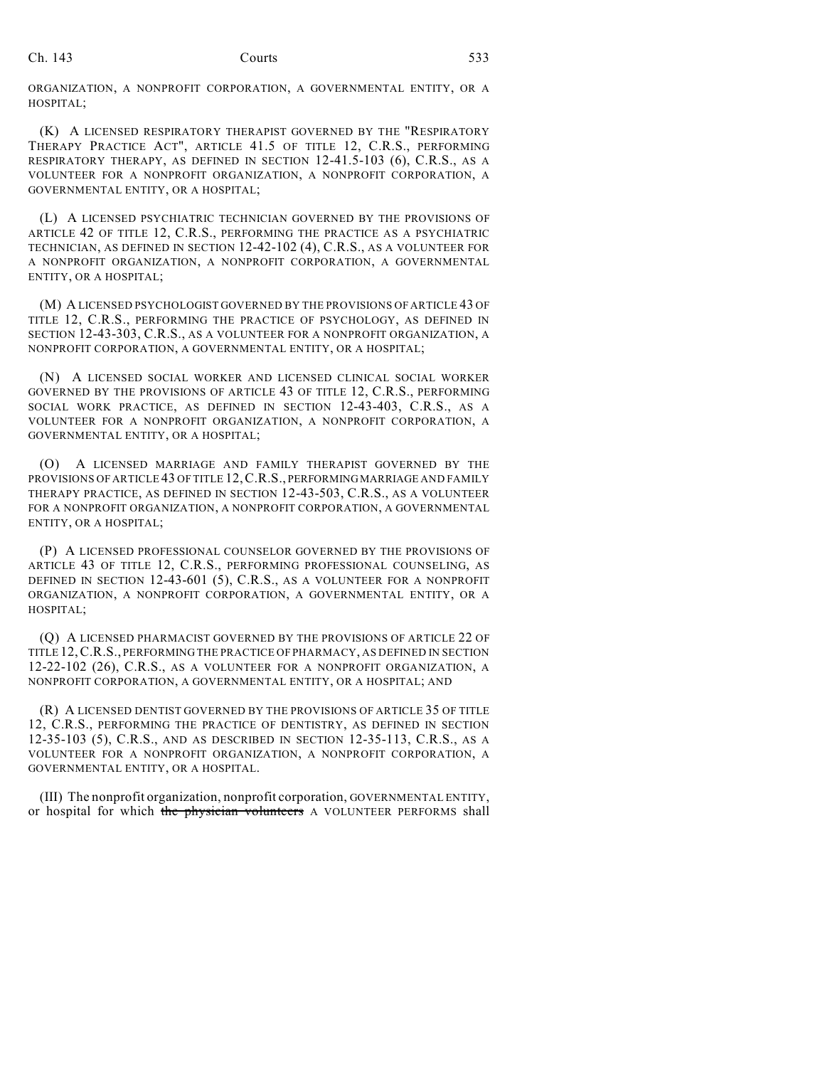ORGANIZATION, A NONPROFIT CORPORATION, A GOVERNMENTAL ENTITY, OR A HOSPITAL;

(K) A LICENSED RESPIRATORY THERAPIST GOVERNED BY THE "RESPIRATORY THERAPY PRACTICE ACT", ARTICLE 41.5 OF TITLE 12, C.R.S., PERFORMING RESPIRATORY THERAPY, AS DEFINED IN SECTION 12-41.5-103 (6), C.R.S., AS A VOLUNTEER FOR A NONPROFIT ORGANIZATION, A NONPROFIT CORPORATION, A GOVERNMENTAL ENTITY, OR A HOSPITAL;

(L) A LICENSED PSYCHIATRIC TECHNICIAN GOVERNED BY THE PROVISIONS OF ARTICLE 42 OF TITLE 12, C.R.S., PERFORMING THE PRACTICE AS A PSYCHIATRIC TECHNICIAN, AS DEFINED IN SECTION 12-42-102 (4), C.R.S., AS A VOLUNTEER FOR A NONPROFIT ORGANIZATION, A NONPROFIT CORPORATION, A GOVERNMENTAL ENTITY, OR A HOSPITAL;

(M) A LICENSED PSYCHOLOGIST GOVERNED BY THE PROVISIONS OF ARTICLE 43 OF TITLE 12, C.R.S., PERFORMING THE PRACTICE OF PSYCHOLOGY, AS DEFINED IN SECTION 12-43-303, C.R.S., AS A VOLUNTEER FOR A NONPROFIT ORGANIZATION, A NONPROFIT CORPORATION, A GOVERNMENTAL ENTITY, OR A HOSPITAL;

(N) A LICENSED SOCIAL WORKER AND LICENSED CLINICAL SOCIAL WORKER GOVERNED BY THE PROVISIONS OF ARTICLE 43 OF TITLE 12, C.R.S., PERFORMING SOCIAL WORK PRACTICE, AS DEFINED IN SECTION 12-43-403, C.R.S., AS A VOLUNTEER FOR A NONPROFIT ORGANIZATION, A NONPROFIT CORPORATION, A GOVERNMENTAL ENTITY, OR A HOSPITAL;

(O) A LICENSED MARRIAGE AND FAMILY THERAPIST GOVERNED BY THE PROVISIONS OF ARTICLE 43 OF TITLE 12,C.R.S., PERFORMING MARRIAGE AND FAMILY THERAPY PRACTICE, AS DEFINED IN SECTION 12-43-503, C.R.S., AS A VOLUNTEER FOR A NONPROFIT ORGANIZATION, A NONPROFIT CORPORATION, A GOVERNMENTAL ENTITY, OR A HOSPITAL;

(P) A LICENSED PROFESSIONAL COUNSELOR GOVERNED BY THE PROVISIONS OF ARTICLE 43 OF TITLE 12, C.R.S., PERFORMING PROFESSIONAL COUNSELING, AS DEFINED IN SECTION 12-43-601 (5), C.R.S., AS A VOLUNTEER FOR A NONPROFIT ORGANIZATION, A NONPROFIT CORPORATION, A GOVERNMENTAL ENTITY, OR A HOSPITAL;

(Q) A LICENSED PHARMACIST GOVERNED BY THE PROVISIONS OF ARTICLE 22 OF TITLE 12,C.R.S., PERFORMING THE PRACTICE OF PHARMACY, AS DEFINED IN SECTION 12-22-102 (26), C.R.S., AS A VOLUNTEER FOR A NONPROFIT ORGANIZATION, A NONPROFIT CORPORATION, A GOVERNMENTAL ENTITY, OR A HOSPITAL; AND

(R) A LICENSED DENTIST GOVERNED BY THE PROVISIONS OF ARTICLE 35 OF TITLE 12, C.R.S., PERFORMING THE PRACTICE OF DENTISTRY, AS DEFINED IN SECTION 12-35-103 (5), C.R.S., AND AS DESCRIBED IN SECTION 12-35-113, C.R.S., AS A VOLUNTEER FOR A NONPROFIT ORGANIZATION, A NONPROFIT CORPORATION, A GOVERNMENTAL ENTITY, OR A HOSPITAL.

(III) The nonprofit organization, nonprofit corporation, GOVERNMENTAL ENTITY, or hospital for which the physician volunteers A VOLUNTEER PERFORMS shall